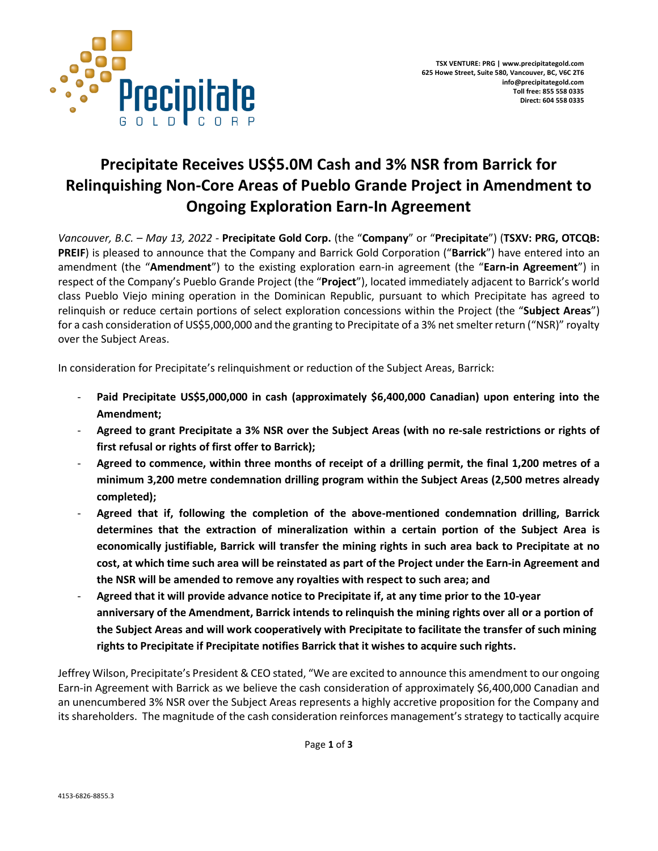

# **Precipitate Receives US\$5.0M Cash and 3% NSR from Barrick for Relinquishing Non-Core Areas of Pueblo Grande Project in Amendment to Ongoing Exploration Earn-In Agreement**

*Vancouver, B.C. – May 13, 2022 -* **Precipitate Gold Corp.** (the "**Company**" or "**Precipitate**") (**TSXV: PRG, OTCQB: PREIF**) is pleased to announce that the Company and Barrick Gold Corporation ("**Barrick**") have entered into an amendment (the "**Amendment**") to the existing exploration earn-in agreement (the "**Earn-in Agreement**") in respect of the Company's Pueblo Grande Project (the "**Project**"), located immediately adjacent to Barrick's world class Pueblo Viejo mining operation in the Dominican Republic, pursuant to which Precipitate has agreed to relinquish or reduce certain portions of select exploration concessions within the Project (the "**Subject Areas**") for a cash consideration of US\$5,000,000 and the granting to Precipitate of a 3% net smelter return ("NSR)" royalty over the Subject Areas.

In consideration for Precipitate's relinquishment or reduction of the Subject Areas, Barrick:

- **Paid Precipitate US\$5,000,000 in cash (approximately \$6,400,000 Canadian) upon entering into the Amendment;**
- **Agreed to grant Precipitate a 3% NSR over the Subject Areas (with no re-sale restrictions or rights of first refusal or rights of first offer to Barrick);**
- **Agreed to commence, within three months of receipt of a drilling permit, the final 1,200 metres of a minimum 3,200 metre condemnation drilling program within the Subject Areas (2,500 metres already completed);**
- **Agreed that if, following the completion of the above-mentioned condemnation drilling, Barrick determines that the extraction of mineralization within a certain portion of the Subject Area is economically justifiable, Barrick will transfer the mining rights in such area back to Precipitate at no cost, at which time such area will be reinstated as part of the Project under the Earn-in Agreement and the NSR will be amended to remove any royalties with respect to such area; and**
- **Agreed that it will provide advance notice to Precipitate if, at any time prior to the 10-year anniversary of the Amendment, Barrick intends to relinquish the mining rights over all or a portion of the Subject Areas and will work cooperatively with Precipitate to facilitate the transfer of such mining rights to Precipitate if Precipitate notifies Barrick that it wishes to acquire such rights.**

Jeffrey Wilson, Precipitate's President & CEO stated, "We are excited to announce this amendment to our ongoing Earn-in Agreement with Barrick as we believe the cash consideration of approximately \$6,400,000 Canadian and an unencumbered 3% NSR over the Subject Areas represents a highly accretive proposition for the Company and its shareholders. The magnitude of the cash consideration reinforces management's strategy to tactically acquire

Page **1** of **3**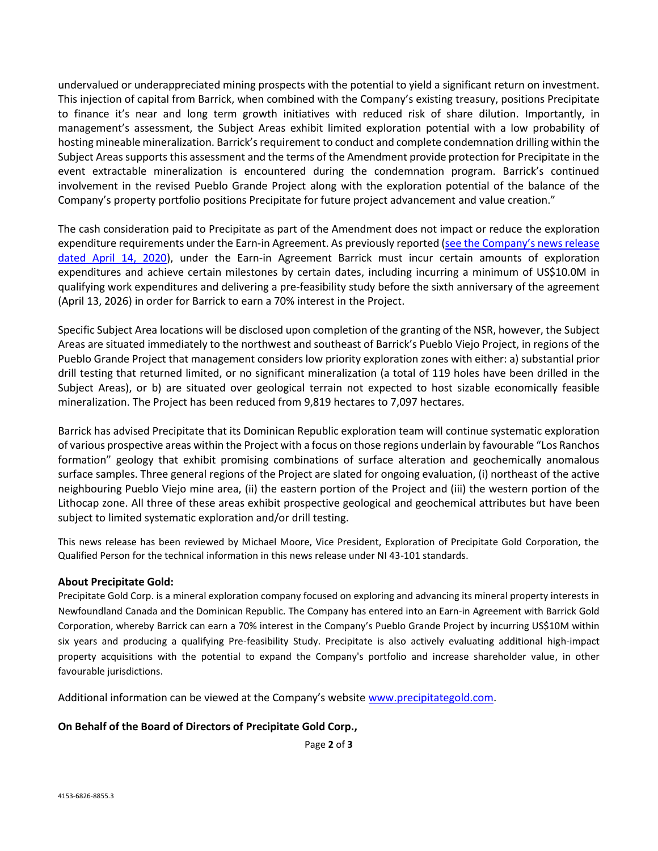undervalued or underappreciated mining prospects with the potential to yield a significant return on investment. This injection of capital from Barrick, when combined with the Company's existing treasury, positions Precipitate to finance it's near and long term growth initiatives with reduced risk of share dilution. Importantly, in management's assessment, the Subject Areas exhibit limited exploration potential with a low probability of hosting mineable mineralization. Barrick's requirement to conduct and complete condemnation drilling within the Subject Areas supports this assessment and the terms of the Amendment provide protection for Precipitate in the event extractable mineralization is encountered during the condemnation program. Barrick's continued involvement in the revised Pueblo Grande Project along with the exploration potential of the balance of the Company's property portfolio positions Precipitate for future project advancement and value creation."

The cash consideration paid to Precipitate as part of the Amendment does not impact or reduce the exploration expenditure requirements under the Earn-in Agreement. As previously reported ([see the Company's news release](https://precipitategold.com/news/2020/precipitate-and-barrick-gold-usdollar100m-earn-in-agreement-on-precipitates-pueblo-grande-project)  [dated April 14, 2020\)](https://precipitategold.com/news/2020/precipitate-and-barrick-gold-usdollar100m-earn-in-agreement-on-precipitates-pueblo-grande-project), under the Earn-in Agreement Barrick must incur certain amounts of exploration expenditures and achieve certain milestones by certain dates, including incurring a minimum of US\$10.0M in qualifying work expenditures and delivering a pre-feasibility study before the sixth anniversary of the agreement (April 13, 2026) in order for Barrick to earn a 70% interest in the Project.

Specific Subject Area locations will be disclosed upon completion of the granting of the NSR, however, the Subject Areas are situated immediately to the northwest and southeast of Barrick's Pueblo Viejo Project, in regions of the Pueblo Grande Project that management considers low priority exploration zones with either: a) substantial prior drill testing that returned limited, or no significant mineralization (a total of 119 holes have been drilled in the Subject Areas), or b) are situated over geological terrain not expected to host sizable economically feasible mineralization. The Project has been reduced from 9,819 hectares to 7,097 hectares.

Barrick has advised Precipitate that its Dominican Republic exploration team will continue systematic exploration of various prospective areas within the Project with a focus on those regions underlain by favourable "Los Ranchos formation" geology that exhibit promising combinations of surface alteration and geochemically anomalous surface samples. Three general regions of the Project are slated for ongoing evaluation, (i) northeast of the active neighbouring Pueblo Viejo mine area, (ii) the eastern portion of the Project and (iii) the western portion of the Lithocap zone. All three of these areas exhibit prospective geological and geochemical attributes but have been subject to limited systematic exploration and/or drill testing.

This news release has been reviewed by Michael Moore, Vice President, Exploration of Precipitate Gold Corporation, the Qualified Person for the technical information in this news release under NI 43-101 standards.

#### **About Precipitate Gold:**

Precipitate Gold Corp. is a mineral exploration company focused on exploring and advancing its mineral property interests in Newfoundland Canada and the Dominican Republic. The Company has entered into an Earn-in Agreement with Barrick Gold Corporation, whereby Barrick can earn a 70% interest in the Company's Pueblo Grande Project by incurring US\$10M within six years and producing a qualifying Pre-feasibility Study. Precipitate is also actively evaluating additional high-impact property acquisitions with the potential to expand the Company's portfolio and increase shareholder value, in other favourable jurisdictions.

Additional information can be viewed at the Company's website [www.precipitategold.com.](http://www.precipitategold.com/)

#### **On Behalf of the Board of Directors of Precipitate Gold Corp.,**

Page **2** of **3**